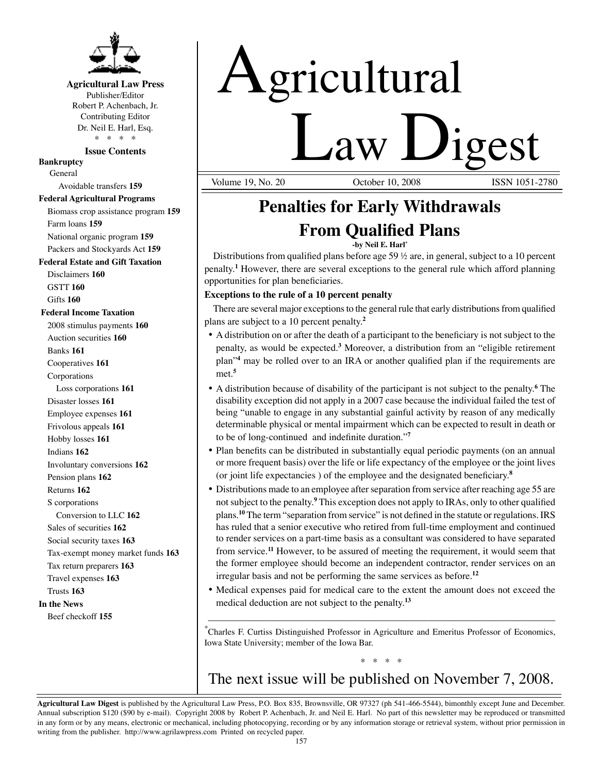

# **Agricultural Law Press**

Publisher/Editor Robert P. Achenbach, Jr. Contributing Editor Dr. Neil E. Harl, Esq. \* \* \* \*

### **Issue Contents**

**Bankruptcy**

General Avoidable transfers **159**

## **Federal Agricultural Programs**

Biomass crop assistance program **159** Farm loans **159**

National organic program **159**

Packers and Stockyards Act **159**

# **Federal Estate and Gift Taxation**

Disclaimers **160** GSTT **160** Gifts **160**

## **Federal Income Taxation**

2008 stimulus payments **160** Auction securities **160** Banks **161** Cooperatives **161** Corporations Loss corporations **161** Disaster losses **161** Employee expenses **161** Frivolous appeals **161** Hobby losses **161** Indians **162** Involuntary conversions **162** Pension plans **162** Returns **162** S corporations Conversion to LLC **162** Sales of securities **162** Social security taxes **163** Tax-exempt money market funds **163** Tax return preparers **163** Travel expenses **163** Trusts **163 In the News** Beef checkoff **155**

# Agricultural

**Law Ligest** October 10, 2008

# **Penalties for Early Withdrawals From Qualified Plans**

**-by Neil E. Harl\***

Distributions from qualified plans before age 59  $\frac{1}{2}$  are, in general, subject to a 10 percent penalty.**<sup>1</sup>** However, there are several exceptions to the general rule which afford planning opportunities for plan beneficiaries.

## **Exceptions to the rule of a 10 percent penalty**

There are several major exceptions to the general rule that early distributions from qualified plans are subject to a 10 percent penalty.**<sup>2</sup>**

- • A distribution on or after the death of a participant to the beneficiary is not subject to the penalty, as would be expected.**<sup>3</sup>** Moreover, a distribution from an "eligible retirement plan"**<sup>4</sup>** may be rolled over to an IRA or another qualified plan if the requirements are met.**<sup>5</sup>**
- • A distribution because of disability of the participant is not subject to the penalty.**<sup>6</sup>** The disability exception did not apply in a 2007 case because the individual failed the test of being "unable to engage in any substantial gainful activity by reason of any medically determinable physical or mental impairment which can be expected to result in death or to be of long-continued and indefinite duration."**<sup>7</sup>**
- Plan benefits can be distributed in substantially equal periodic payments (on an annual or more frequent basis) over the life or life expectancy of the employee or the joint lives (or joint life expectancies ) of the employee and the designated beneficiary.**<sup>8</sup>**
- Distributions made to an employee after separation from service after reaching age 55 are not subject to the penalty.**<sup>9</sup>** This exception does not apply to IRAs, only to other qualified plans.**<sup>10</sup>** The term "separation from service" is not defined in the statute or regulations. IRS has ruled that a senior executive who retired from full-time employment and continued to render services on a part-time basis as a consultant was considered to have separated from service.**<sup>11</sup>** However, to be assured of meeting the requirement, it would seem that the former employee should become an independent contractor, render services on an irregular basis and not be performing the same services as before.**<sup>12</sup>**
- • Medical expenses paid for medical care to the extent the amount does not exceed the medical deduction are not subject to the penalty.**<sup>13</sup>**

\* Charles F. Curtiss Distinguished Professor in Agriculture and Emeritus Professor of Economics, Iowa State University; member of the Iowa Bar.

\_\_\_\_\_\_\_\_\_\_\_\_\_\_\_\_\_\_\_\_\_\_\_\_\_\_\_\_\_\_\_\_\_\_\_\_\_\_\_\_\_\_\_\_\_\_\_\_\_\_\_\_\_\_\_\_\_\_\_\_\_\_\_\_\_\_\_\_\_\_\_

# \* \* \* \* The next issue will be published on November 7, 2008.

**Agricultural Law Digest** is published by the Agricultural Law Press, P.O. Box 835, Brownsville, OR 97327 (ph 541-466-5544), bimonthly except June and December. Annual subscription \$120 (\$90 by e-mail). Copyright 2008 by Robert P. Achenbach, Jr. and Neil E. Harl. No part of this newsletter may be reproduced or transmitted in any form or by any means, electronic or mechanical, including photocopying, recording or by any information storage or retrieval system, without prior permission in writing from the publisher. http://www.agrilawpress.com Printed on recycled paper.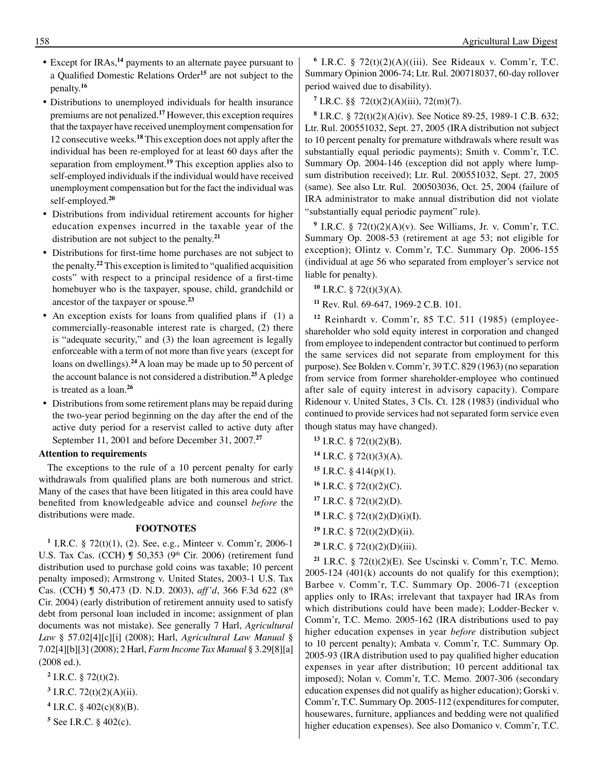- • Except for IRAs,**<sup>14</sup>** payments to an alternate payee pursuant to a Qualified Domestic Relations Order**<sup>15</sup>** are not subject to the penalty.**<sup>16</sup>**
- • Distributions to unemployed individuals for health insurance premiums are not penalized.**<sup>17</sup>** However, this exception requires that the taxpayer have received unemployment compensation for 12 consecutive weeks.**<sup>18</sup>** This exception does not apply after the individual has been re-employed for at least 60 days after the separation from employment.**<sup>19</sup>** This exception applies also to self-employed individuals if the individual would have received unemployment compensation but for the fact the individual was self-employed.**<sup>20</sup>**
- • Distributions from individual retirement accounts for higher education expenses incurred in the taxable year of the distribution are not subject to the penalty.**<sup>21</sup>**
- • Distributions for first-time home purchases are not subject to the penalty.**<sup>22</sup>** This exception islimited to "qualified acquisition costs" with respect to a principal residence of a first-time homebuyer who is the taxpayer, spouse, child, grandchild or ancestor of the taxpayer or spouse.**<sup>23</sup>**
- An exception exists for loans from qualified plans if (1) a commercially-reasonable interest rate is charged, (2) there is "adequate security," and (3) the loan agreement is legally enforceable with a term of not more than five years (except for loans on dwellings).**<sup>24</sup>** A loan may be made up to 50 percent of the account balance is not considered a distribution.**<sup>25</sup>** A pledge is treated as a loan.**<sup>26</sup>**
- Distributions from some retirement plans may be repaid during the two-year period beginning on the day after the end of the active duty period for a reservist called to active duty after September 11, 2001 and before December 31, 2007.**<sup>27</sup>**

#### **Attention to requirements**

 The exceptions to the rule of a 10 percent penalty for early withdrawals from qualified plans are both numerous and strict. Many of the cases that have been litigated in this area could have benefited from knowledgeable advice and counsel *before* the distributions were made.

#### **FOOTNOTES**

**<sup>1</sup>** I.R.C. § 72(t)(1), (2). See, e.g., Minteer v. Comm'r, 2006-1 U.S. Tax Cas. (CCH)  $\int$  50,353 (9<sup>th</sup> Cir. 2006) (retirement fund distribution used to purchase gold coins was taxable; 10 percent penalty imposed); Armstrong v. United States, 2003-1 U.S. Tax Cas. (CCH) ¶ 50,473 (D. N.D. 2003), *aff'd*, 366 F.3d 622 (8th Cir. 2004) (early distribution of retirement annuity used to satisfy debt from personal loan included in income; assignment of plan documents was not mistake). See generally 7 Harl, *Agricultural Law* § 57.02[4][c][i] (2008); Harl, *Agricultural Law Manual* § 7.02[4][b][3](2008); 2 Harl, *Farm Income Tax Manual* § 3.29[8][a] (2008 ed.).

- **<sup>2</sup>** I.R.C. § 72(t)(2).
- **<sup>3</sup>** I.R.C. 72(t)(2)(A)(ii).
- **<sup>4</sup>** I.R.C. § 402(c)(8)(B).
- **<sup>5</sup>** See I.R.C. § 402(c).

**<sup>6</sup>** I.R.C. § 72(t)(2)(A)((iii). See Rideaux v. Comm'r, T.C. Summary Opinion 2006-74; Ltr. Rul. 200718037, 60-day rollover period waived due to disability).

**<sup>7</sup>** I.R.C. §§ 72(t)(2)(A)(iii), 72(m)(7).

**<sup>8</sup>** I.R.C. § 72(t)(2)(A)(iv). See Notice 89-25, 1989-1 C.B. 632; Ltr. Rul. 200551032, Sept. 27, 2005 (IRA distribution not subject to 10 percent penalty for premature withdrawals where result was substantially equal periodic payments); Smith v. Comm'r, T.C. Summary Op. 2004-146 (exception did not apply where lumpsum distribution received); Ltr. Rul. 200551032, Sept. 27, 2005 (same). See also Ltr. Rul. 200503036, Oct. 25, 2004 (failure of IRA administrator to make annual distribution did not violate "substantially equal periodic payment" rule).

**<sup>9</sup>** I.R.C. § 72(t)(2)(A)(v). See Williams, Jr. v. Comm'r, T.C. Summary Op. 2008-53 (retirement at age 53; not eligible for exception); Olintz v. Comm'r, T.C. Summary Op. 2006-155 (individual at age 56 who separated from employer's service not liable for penalty).

**<sup>10</sup>** I.R.C. § 72(t)(3)(A).

**<sup>11</sup>** Rev. Rul. 69-647, 1969-2 C.B. 101.

**<sup>12</sup>** Reinhardt v. Comm'r, 85 T.C. 511 (1985) (employeeshareholder who sold equity interest in corporation and changed from employee to independent contractor but continued to perform the same services did not separate from employment for this purpose). See Bolden v. Comm'r, 39 T.C. 829 (1963) (no separation from service from former shareholder-employee who continued after sale of equity interest in advisory capacity). Compare Ridenour v. United States, 3 Cls. Ct. 128 (1983) (individual who continued to provide services had not separated form service even though status may have changed).

- **<sup>13</sup>** I.R.C. § 72(t)(2)(B). **<sup>14</sup>** I.R.C. § 72(t)(3)(A). **<sup>15</sup>** I.R.C. § 414(p)(1). **<sup>16</sup>** I.R.C. § 72(t)(2)(C). **<sup>17</sup>** I.R.C. § 72(t)(2)(D). **<sup>18</sup>** I.R.C. § 72(t)(2)(D)(i)(I). **<sup>19</sup>** I.R.C. § 72(t)(2)(D)(ii).
- **<sup>20</sup>** I.R.C. § 72(t)(2)(D)(iii).

**<sup>21</sup>** I.R.C. § 72(t)(2)(E). See Uscinski v. Comm'r, T.C. Memo.  $2005-124$  (401(k) accounts do not qualify for this exemption); Barbee v. Comm'r, T.C. Summary Op. 2006-71 (exception applies only to IRAs; irrelevant that taxpayer had IRAs from which distributions could have been made); Lodder-Becker v. Comm'r, T.C. Memo. 2005-162 (IRA distributions used to pay higher education expenses in year *before* distribution subject to 10 percent penalty); Ambata v. Comm'r, T.C. Summary Op. 2005-93 (IRA distribution used to pay qualified higher education expenses in year after distribution; 10 percent additional tax imposed); Nolan v. Comm'r, T.C. Memo. 2007-306 (secondary education expenses did not qualify as higher education); Gorski v. Comm'r, T.C. Summary Op. 2005-112 (expenditures for computer, housewares, furniture, appliances and bedding were not qualified higher education expenses). See also Domanico v. Comm'r, T.C.